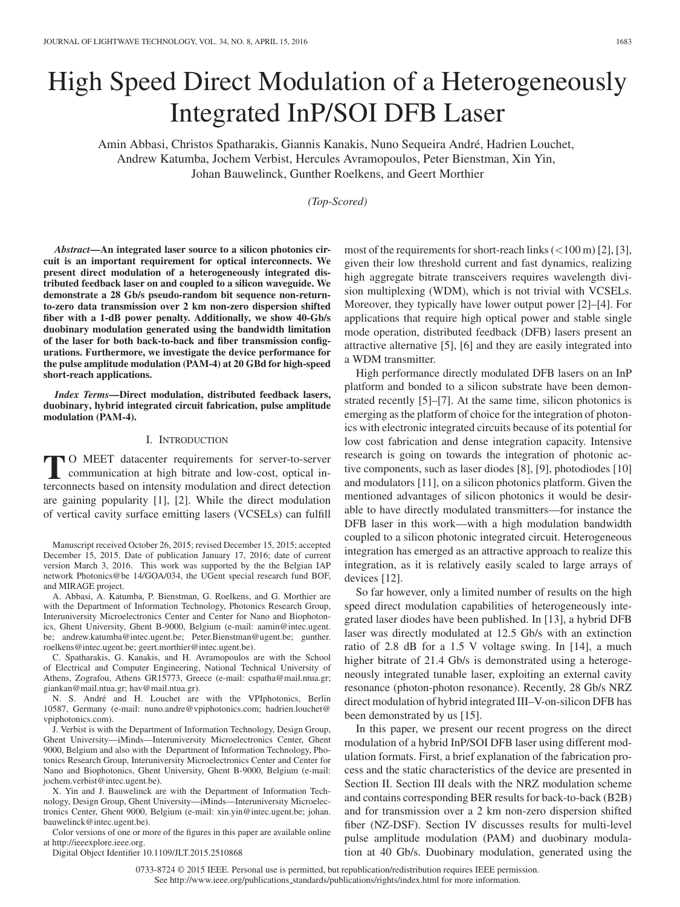# High Speed Direct Modulation of a Heterogeneously Integrated InP/SOI DFB Laser

Amin Abbasi, Christos Spatharakis, Giannis Kanakis, Nuno Sequeira Andre, Hadrien Louchet, ´ Andrew Katumba, Jochem Verbist, Hercules Avramopoulos, Peter Bienstman, Xin Yin, Johan Bauwelinck, Gunther Roelkens, and Geert Morthier

*(Top-Scored)*

*Abstract***—An integrated laser source to a silicon photonics circuit is an important requirement for optical interconnects. We present direct modulation of a heterogeneously integrated distributed feedback laser on and coupled to a silicon waveguide. We demonstrate a 28 Gb/s pseudo-random bit sequence non-returnto-zero data transmission over 2 km non-zero dispersion shifted fiber with a 1-dB power penalty. Additionally, we show 40-Gb/s duobinary modulation generated using the bandwidth limitation of the laser for both back-to-back and fiber transmission configurations. Furthermore, we investigate the device performance for the pulse amplitude modulation (PAM-4) at 20 GBd for high-speed short-reach applications.**

*Index Terms***—Direct modulation, distributed feedback lasers, duobinary, hybrid integrated circuit fabrication, pulse amplitude modulation (PAM-4).**

#### I. INTRODUCTION

**T** O MEET datacenter requirements for server-to-server communication at high bitrate and low-cost, optical in-<br>terconnects based on intensity modulation and direct detection terconnects based on intensity modulation and direct detection are gaining popularity [1], [2]. While the direct modulation of vertical cavity surface emitting lasers (VCSELs) can fulfill

Manuscript received October 26, 2015; revised December 15, 2015; accepted December 15, 2015. Date of publication January 17, 2016; date of current version March 3, 2016. This work was supported by the the Belgian IAP network Photonics@be 14/GOA/034, the UGent special research fund BOF, and MIRAGE project.

A. Abbasi, A. Katumba, P. Bienstman, G. Roelkens, and G. Morthier are with the Department of Information Technology, Photonics Research Group, Interuniversity Microelectronics Center and Center for Nano and Biophotonics, Ghent University, Ghent B-9000, Belgium (e-mail: aamin@intec.ugent. be; andrew.katumba@intec.ugent.be; Peter.Bienstman@ugent.be; gunther. roelkens@intec.ugent.be; geert.morthier@intec.ugent.be).

C. Spatharakis, G. Kanakis, and H. Avramopoulos are with the School of Electrical and Computer Engineering, National Technical University of Athens, Zografou, Athens GR15773, Greece (e-mail: cspatha@mail.ntua.gr; giankan@mail.ntua.gr; hav@mail.ntua.gr).

N. S. André and H. Louchet are with the VPIphotonics, Berlin 10587, Germany (e-mail: nuno.andre@vpiphotonics.com; hadrien.louchet@ vpiphotonics.com).

J. Verbist is with the Department of Information Technology, Design Group, Ghent University—iMinds—Interuniversity Microelectronics Center, Ghent 9000, Belgium and also with the Department of Information Technology, Photonics Research Group, Interuniversity Microelectronics Center and Center for Nano and Biophotonics, Ghent University, Ghent B-9000, Belgium (e-mail: jochem.verbist@intec.ugent.be).

X. Yin and J. Bauwelinck are with the Department of Information Technology, Design Group, Ghent University—iMinds—Interuniversity Microelectronics Center, Ghent 9000, Belgium (e-mail: xin.yin@intec.ugent.be; johan. bauwelinck@intec.ugent.be).

Color versions of one or more of the figures in this paper are available online at http://ieeexplore.ieee.org.

Digital Object Identifier 10.1109/JLT.2015.2510868

most of the requirements for short-reach links  $\left($ <100 m) [2], [3], given their low threshold current and fast dynamics, realizing high aggregate bitrate transceivers requires wavelength division multiplexing (WDM), which is not trivial with VCSELs. Moreover, they typically have lower output power [2]–[4]. For applications that require high optical power and stable single mode operation, distributed feedback (DFB) lasers present an attractive alternative [5], [6] and they are easily integrated into a WDM transmitter.

High performance directly modulated DFB lasers on an InP platform and bonded to a silicon substrate have been demonstrated recently [5]–[7]. At the same time, silicon photonics is emerging as the platform of choice for the integration of photonics with electronic integrated circuits because of its potential for low cost fabrication and dense integration capacity. Intensive research is going on towards the integration of photonic active components, such as laser diodes [8], [9], photodiodes [10] and modulators [11], on a silicon photonics platform. Given the mentioned advantages of silicon photonics it would be desirable to have directly modulated transmitters—for instance the DFB laser in this work—with a high modulation bandwidth coupled to a silicon photonic integrated circuit. Heterogeneous integration has emerged as an attractive approach to realize this integration, as it is relatively easily scaled to large arrays of devices [12].

So far however, only a limited number of results on the high speed direct modulation capabilities of heterogeneously integrated laser diodes have been published. In [13], a hybrid DFB laser was directly modulated at 12.5 Gb/s with an extinction ratio of 2.8 dB for a 1.5 V voltage swing. In [14], a much higher bitrate of 21.4 Gb/s is demonstrated using a heterogeneously integrated tunable laser, exploiting an external cavity resonance (photon-photon resonance). Recently, 28 Gb/s NRZ direct modulation of hybrid integrated III–V-on-silicon DFB has been demonstrated by us [15].

In this paper, we present our recent progress on the direct modulation of a hybrid InP/SOI DFB laser using different modulation formats. First, a brief explanation of the fabrication process and the static characteristics of the device are presented in Section II. Section III deals with the NRZ modulation scheme and contains corresponding BER results for back-to-back (B2B) and for transmission over a 2 km non-zero dispersion shifted fiber (NZ-DSF). Section IV discusses results for multi-level pulse amplitude modulation (PAM) and duobinary modulation at 40 Gb/s. Duobinary modulation, generated using the

0733-8724 © 2015 IEEE. Personal use is permitted, but republication/redistribution requires IEEE permission. See http://www.ieee.org/publications\_standards/publications/rights/index.html for more information.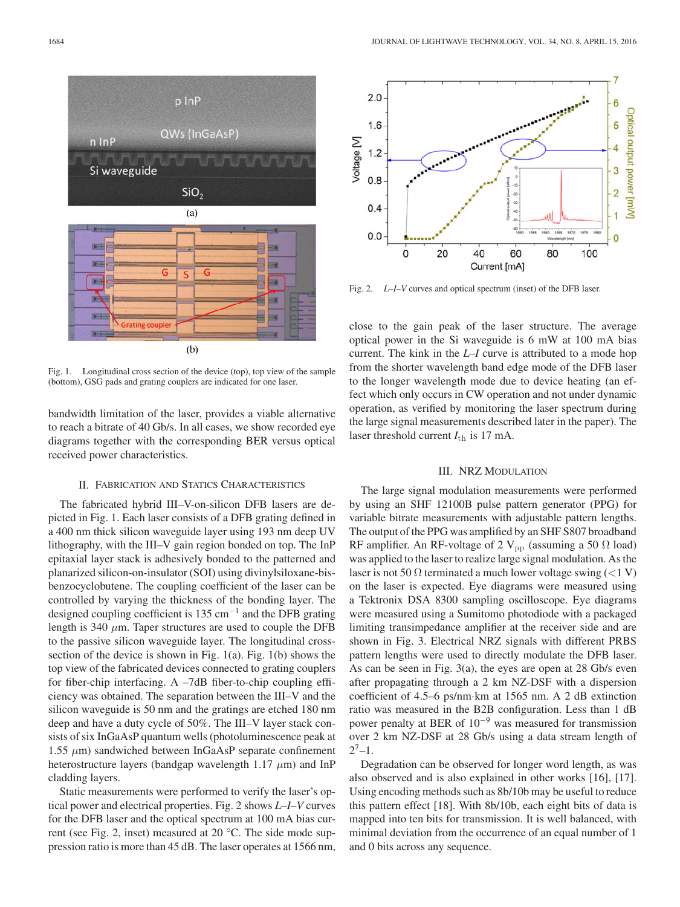

Fig. 1. Longitudinal cross section of the device (top), top view of the sample (bottom), GSG pads and grating couplers are indicated for one laser.

bandwidth limitation of the laser, provides a viable alternative to reach a bitrate of 40 Gb/s. In all cases, we show recorded eye diagrams together with the corresponding BER versus optical received power characteristics.

## II. FABRICATION AND STATICS CHARACTERISTICS

The fabricated hybrid III–V-on-silicon DFB lasers are depicted in Fig. 1. Each laser consists of a DFB grating defined in a 400 nm thick silicon waveguide layer using 193 nm deep UV lithography, with the III–V gain region bonded on top. The InP epitaxial layer stack is adhesively bonded to the patterned and planarized silicon-on-insulator (SOI) using divinylsiloxane-bisbenzocyclobutene. The coupling coefficient of the laser can be controlled by varying the thickness of the bonding layer. The designed coupling coefficient is 135 cm<sup>-1</sup> and the DFB grating length is 340  $\mu$ m. Taper structures are used to couple the DFB to the passive silicon waveguide layer. The longitudinal crosssection of the device is shown in Fig. 1(a). Fig. 1(b) shows the top view of the fabricated devices connected to grating couplers for fiber-chip interfacing. A –7dB fiber-to-chip coupling efficiency was obtained. The separation between the III–V and the silicon waveguide is 50 nm and the gratings are etched 180 nm deep and have a duty cycle of 50%. The III–V layer stack consists of six InGaAsP quantum wells (photoluminescence peak at 1.55  $μ$ m) sandwiched between InGaAsP separate confinement heterostructure layers (bandgap wavelength 1.17  $\mu$ m) and InP cladding layers.

Static measurements were performed to verify the laser's optical power and electrical properties. Fig. 2 shows *L–I–V* curves for the DFB laser and the optical spectrum at 100 mA bias current (see Fig. 2, inset) measured at 20 °C. The side mode suppression ratio is more than 45 dB. The laser operates at 1566 nm,



Fig. 2. *L–I–V* curves and optical spectrum (inset) of the DFB laser.

close to the gain peak of the laser structure. The average optical power in the Si waveguide is 6 mW at 100 mA bias current. The kink in the *L–I* curve is attributed to a mode hop from the shorter wavelength band edge mode of the DFB laser to the longer wavelength mode due to device heating (an effect which only occurs in CW operation and not under dynamic operation, as verified by monitoring the laser spectrum during the large signal measurements described later in the paper). The laser threshold current  $I_{\text{th}}$  is 17 mA.

## III. NRZ MODULATION

The large signal modulation measurements were performed by using an SHF 12100B pulse pattern generator (PPG) for variable bitrate measurements with adjustable pattern lengths. The output of the PPG was amplified by an SHF S807 broadband RF amplifier. An RF-voltage of 2  $V_{pp}$  (assuming a 50  $\Omega$  load) was applied to the laser to realize large signal modulation. As the laser is not 50  $\Omega$  terminated a much lower voltage swing (<1 V) on the laser is expected. Eye diagrams were measured using a Tektronix DSA 8300 sampling oscilloscope. Eye diagrams were measured using a Sumitomo photodiode with a packaged limiting transimpedance amplifier at the receiver side and are shown in Fig. 3. Electrical NRZ signals with different PRBS pattern lengths were used to directly modulate the DFB laser. As can be seen in Fig. 3(a), the eyes are open at 28 Gb/s even after propagating through a 2 km NZ-DSF with a dispersion coefficient of 4.5–6 ps/nm·km at 1565 nm. A 2 dB extinction ratio was measured in the B2B configuration. Less than 1 dB power penalty at BER of  $10^{-9}$  was measured for transmission over 2 km NZ-DSF at 28 Gb/s using a data stream length of  $2^7-1$ .

Degradation can be observed for longer word length, as was also observed and is also explained in other works [16], [17]. Using encoding methods such as 8b/10b may be useful to reduce this pattern effect [18]. With 8b/10b, each eight bits of data is mapped into ten bits for transmission. It is well balanced, with minimal deviation from the occurrence of an equal number of 1 and 0 bits across any sequence.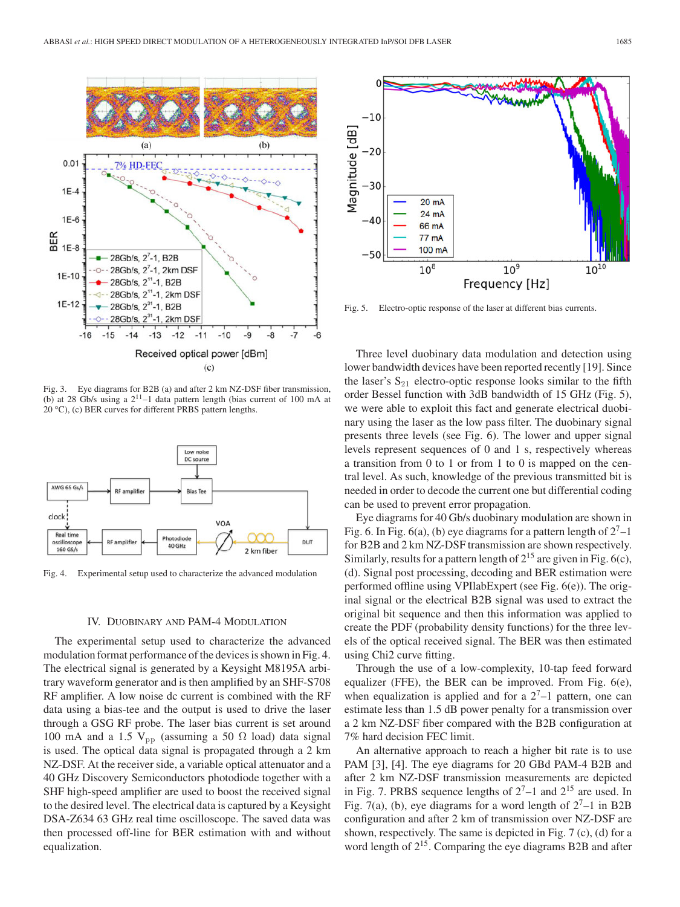

Fig. 3. Eye diagrams for B2B (a) and after 2 km NZ-DSF fiber transmission, (b) at 28 Gb/s using a  $2^{11}$ -1 data pattern length (bias current of 100 mA at 20 °C), (c) BER curves for different PRBS pattern lengths.



Fig. 4. Experimental setup used to characterize the advanced modulation

### IV. DUOBINARY AND PAM-4 MODULATION

The experimental setup used to characterize the advanced modulation format performance of the devices is shown in Fig. 4. The electrical signal is generated by a Keysight M8195A arbitrary waveform generator and is then amplified by an SHF-S708 RF amplifier. A low noise dc current is combined with the RF data using a bias-tee and the output is used to drive the laser through a GSG RF probe. The laser bias current is set around 100 mA and a 1.5  $V_{\text{pp}}$  (assuming a 50  $\Omega$  load) data signal is used. The optical data signal is propagated through a 2 km NZ-DSF. At the receiver side, a variable optical attenuator and a 40 GHz Discovery Semiconductors photodiode together with a SHF high-speed amplifier are used to boost the received signal to the desired level. The electrical data is captured by a Keysight DSA-Z634 63 GHz real time oscilloscope. The saved data was then processed off-line for BER estimation with and without equalization.



Fig. 5. Electro-optic response of the laser at different bias currents.

Three level duobinary data modulation and detection using lower bandwidth devices have been reported recently [19]. Since the laser's  $S_{21}$  electro-optic response looks similar to the fifth order Bessel function with 3dB bandwidth of 15 GHz (Fig. 5), we were able to exploit this fact and generate electrical duobinary using the laser as the low pass filter. The duobinary signal presents three levels (see Fig. 6). The lower and upper signal levels represent sequences of 0 and 1 s, respectively whereas a transition from 0 to 1 or from 1 to 0 is mapped on the central level. As such, knowledge of the previous transmitted bit is needed in order to decode the current one but differential coding can be used to prevent error propagation.

Eye diagrams for 40 Gb/s duobinary modulation are shown in Fig. 6. In Fig. 6(a), (b) eye diagrams for a pattern length of  $2<sup>7</sup>-1$ for B2B and 2 km NZ-DSF transmission are shown respectively. Similarly, results for a pattern length of  $2^{15}$  are given in Fig. 6(c), (d). Signal post processing, decoding and BER estimation were performed offline using VPIlabExpert (see Fig. 6(e)). The original signal or the electrical B2B signal was used to extract the original bit sequence and then this information was applied to create the PDF (probability density functions) for the three levels of the optical received signal. The BER was then estimated using Chi2 curve fitting.

Through the use of a low-complexity, 10-tap feed forward equalizer (FFE), the BER can be improved. From Fig. 6(e), when equalization is applied and for a  $2<sup>7</sup>-1$  pattern, one can estimate less than 1.5 dB power penalty for a transmission over a 2 km NZ-DSF fiber compared with the B2B configuration at 7% hard decision FEC limit.

An alternative approach to reach a higher bit rate is to use PAM [3], [4]. The eye diagrams for 20 GBd PAM-4 B2B and after 2 km NZ-DSF transmission measurements are depicted in Fig. 7. PRBS sequence lengths of  $2^7$ –1 and  $2^{15}$  are used. In Fig. 7(a), (b), eye diagrams for a word length of  $2^7$ –1 in B2B configuration and after 2 km of transmission over NZ-DSF are shown, respectively. The same is depicted in Fig. 7 (c), (d) for a word length of  $2^{15}$ . Comparing the eye diagrams B2B and after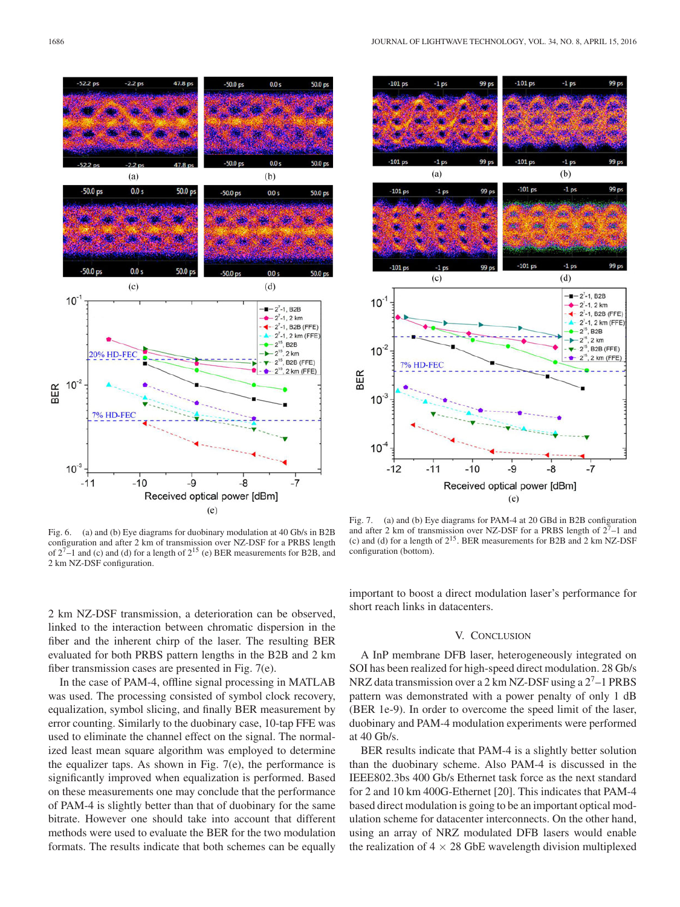

Fig. 6. (a) and (b) Eye diagrams for duobinary modulation at 40 Gb/s in B2B configuration and after 2 km of transmission over NZ-DSF for a PRBS length of  $2^{7}$ –1 and (c) and (d) for a length of  $2^{15}$  (e) BER measurements for B2B, and 2 km NZ-DSF configuration.

2 km NZ-DSF transmission, a deterioration can be observed, linked to the interaction between chromatic dispersion in the fiber and the inherent chirp of the laser. The resulting BER evaluated for both PRBS pattern lengths in the B2B and 2 km fiber transmission cases are presented in Fig. 7(e).

In the case of PAM-4, offline signal processing in MATLAB was used. The processing consisted of symbol clock recovery, equalization, symbol slicing, and finally BER measurement by error counting. Similarly to the duobinary case, 10-tap FFE was used to eliminate the channel effect on the signal. The normalized least mean square algorithm was employed to determine the equalizer taps. As shown in Fig. 7(e), the performance is significantly improved when equalization is performed. Based on these measurements one may conclude that the performance of PAM-4 is slightly better than that of duobinary for the same bitrate. However one should take into account that different methods were used to evaluate the BER for the two modulation formats. The results indicate that both schemes can be equally



Fig. 7. (a) and (b) Eye diagrams for PAM-4 at 20 GBd in B2B configuration and after 2 km of transmission over NZ-DSF for a PRBS length of  $2^7$ –1 and (c) and (d) for a length of  $2^{15}$ . BER measurements for B2B and 2 km NZ-DSF configuration (bottom).

important to boost a direct modulation laser's performance for short reach links in datacenters.

# V. CONCLUSION

A InP membrane DFB laser, heterogeneously integrated on SOI has been realized for high-speed direct modulation. 28 Gb/s NRZ data transmission over a 2 km NZ-DSF using a 27–1 PRBS pattern was demonstrated with a power penalty of only 1 dB (BER 1e-9). In order to overcome the speed limit of the laser, duobinary and PAM-4 modulation experiments were performed at 40 Gb/s.

BER results indicate that PAM-4 is a slightly better solution than the duobinary scheme. Also PAM-4 is discussed in the IEEE802.3bs 400 Gb/s Ethernet task force as the next standard for 2 and 10 km 400G-Ethernet [20]. This indicates that PAM-4 based direct modulation is going to be an important optical modulation scheme for datacenter interconnects. On the other hand, using an array of NRZ modulated DFB lasers would enable the realization of  $4 \times 28$  GbE wavelength division multiplexed